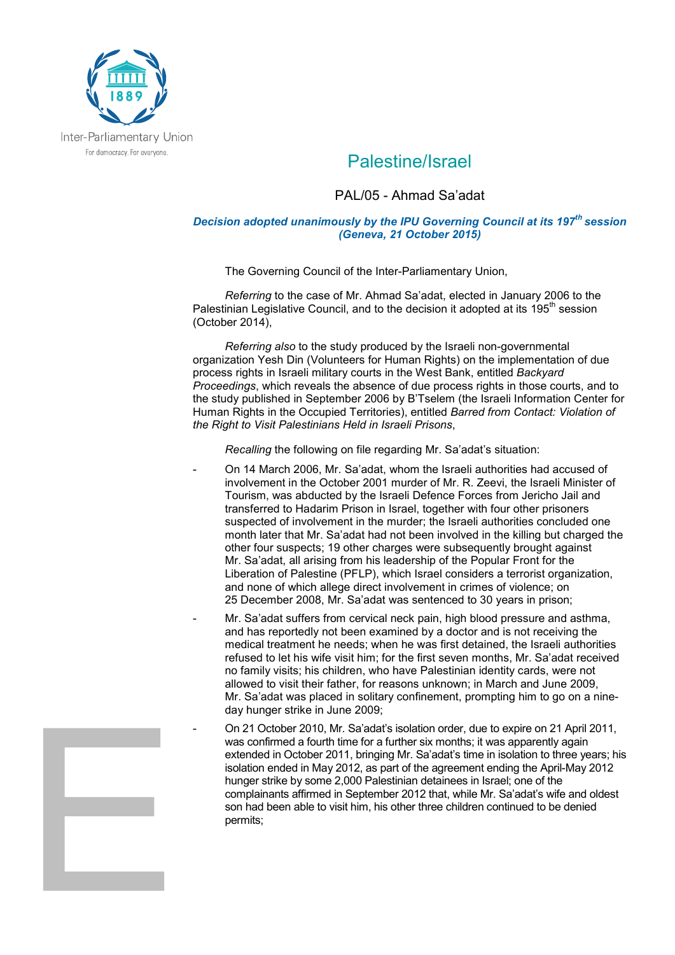

## Palestine/Israel

## PAL/05 - Ahmad Sa'adat

## *Decision adopted unanimously by the IPU Governing Council at its 197th session (Geneva, 21 October 2015)*

The Governing Council of the Inter-Parliamentary Union,

*Referring* to the case of Mr. Ahmad Sa'adat, elected in January 2006 to the Palestinian Legislative Council, and to the decision it adopted at its 195<sup>th</sup> session (October 2014),

*Referring also* to the study produced by the Israeli non-governmental organization Yesh Din (Volunteers for Human Rights) on the implementation of due process rights in Israeli military courts in the West Bank, entitled *Backyard Proceedings*, which reveals the absence of due process rights in those courts, and to the study published in September 2006 by B'Tselem (the Israeli Information Center for Human Rights in the Occupied Territories), entitled *Barred from Contact: Violation of the Right to Visit Palestinians Held in Israeli Prisons*,

*Recalling* the following on file regarding Mr. Sa'adat's situation:

- On 14 March 2006, Mr. Sa'adat, whom the Israeli authorities had accused of involvement in the October 2001 murder of Mr. R. Zeevi, the Israeli Minister of Tourism, was abducted by the Israeli Defence Forces from Jericho Jail and transferred to Hadarim Prison in Israel, together with four other prisoners suspected of involvement in the murder; the Israeli authorities concluded one month later that Mr. Sa'adat had not been involved in the killing but charged the other four suspects; 19 other charges were subsequently brought against Mr. Sa'adat, all arising from his leadership of the Popular Front for the Liberation of Palestine (PFLP), which Israel considers a terrorist organization, and none of which allege direct involvement in crimes of violence; on 25 December 2008, Mr. Sa'adat was sentenced to 30 years in prison;
- Mr. Sa'adat suffers from cervical neck pain, high blood pressure and asthma, and has reportedly not been examined by a doctor and is not receiving the medical treatment he needs; when he was first detained, the Israeli authorities refused to let his wife visit him; for the first seven months, Mr. Sa'adat received no family visits; his children, who have Palestinian identity cards, were not allowed to visit their father, for reasons unknown; in March and June 2009, Mr. Sa'adat was placed in solitary confinement, prompting him to go on a nineday hunger strike in June 2009;
	- On 21 October 2010, Mr. Sa'adat's isolation order, due to expire on 21 April 2011, was confirmed a fourth time for a further six months: it was apparently again extended in October 2011, bringing Mr. Sa'adat's time in isolation to three years; his isolation ended in May 2012, as part of the agreement ending the April-May 2012 hunger strike by some 2,000 Palestinian detainees in Israel; one of the complainants affirmed in September 2012 that, while Mr. Sa'adat's wife and oldest son had been able to visit him, his other three children continued to be denied permits;